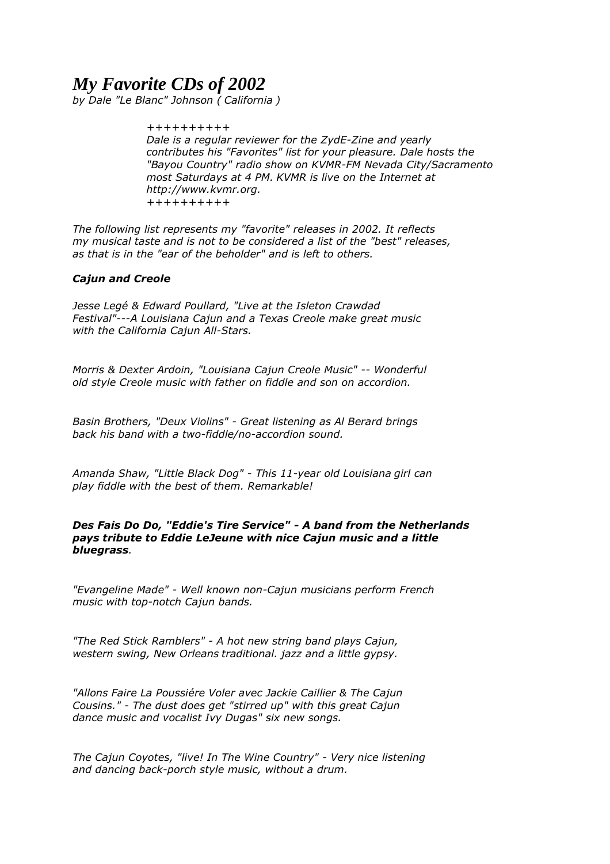# *My Favorite CDs of 2002*

*by Dale "Le Blanc" Johnson ( California )* 

*++++++++++ Dale is a regular reviewer for the ZydE-Zine and yearly contributes his "Favorites" list for your pleasure. Dale hosts the "Bayou Country" radio show on KVMR-FM Nevada City/Sacramento most Saturdays at 4 PM. KVMR is live on the Internet at http://www.kvmr.org. ++++++++++* 

*The following list represents my "favorite" releases in 2002. It reflects my musical taste and is not to be considered a list of the "best" releases, as that is in the "ear of the beholder" and is left to others.* 

# *Cajun and Creole*

*Jesse Legé & Edward Poullard, "Live at the Isleton Crawdad Festival"---A Louisiana Cajun and a Texas Creole make great music with the California Cajun All-Stars.* 

*Morris & Dexter Ardoin, "Louisiana Cajun Creole Music" -- Wonderful old style Creole music with father on fiddle and son on accordion.* 

*Basin Brothers, "Deux Violins" - Great listening as Al Berard brings back his band with a two-fiddle/no-accordion sound.*

*Amanda Shaw, "Little Black Dog" - This 11-year old Louisiana girl can play fiddle with the best of them. Remarkable!* 

## *Des Fais Do Do, "Eddie's Tire Service" - A band from the Netherlands pays tribute to Eddie LeJeune with nice Cajun music and a little bluegrass.*

*"Evangeline Made" - Well known non-Cajun musicians perform French music with top-notch Cajun bands.* 

*"The Red Stick Ramblers" - A hot new string band plays Cajun, western swing, New Orleans traditional. jazz and a little gypsy.* 

*"Allons Faire La Poussiére Voler avec Jackie Caillier & The Cajun Cousins." - The dust does get "stirred up" with this great Cajun dance music and vocalist Ivy Dugas" six new songs.* 

*The Cajun Coyotes, "live! In The Wine Country" - Very nice listening and dancing back-porch style music, without a drum.*